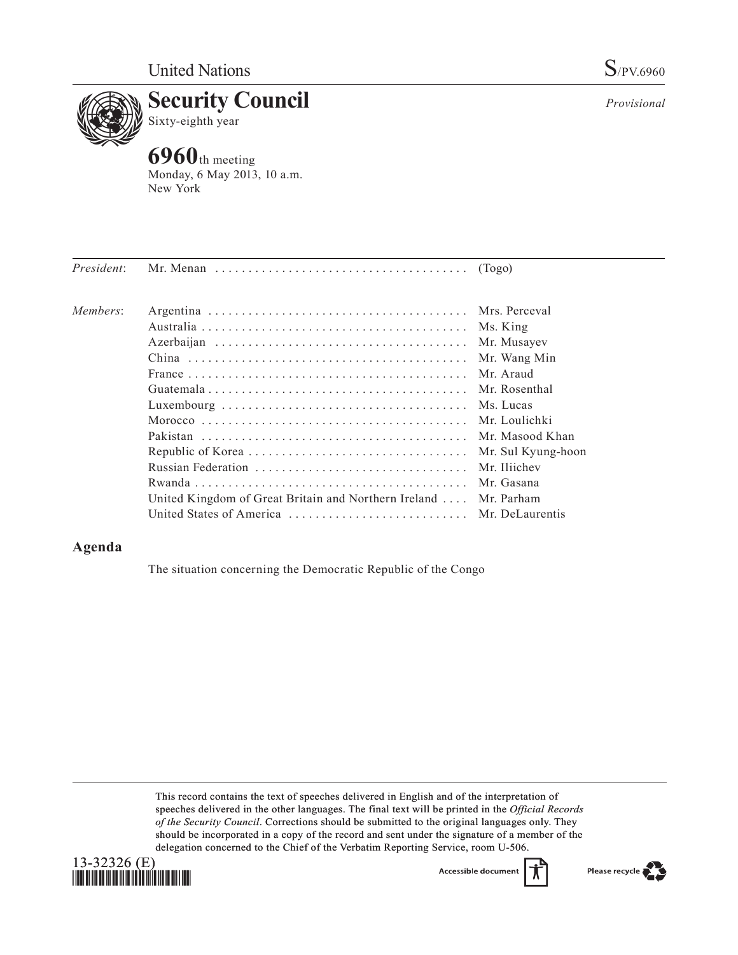

*Provisional*



**6960**th meeting Monday, 6 May 2013, 10 a.m. New York

| President: | Mr. Menan $\dots \dots \dots \dots \dots \dots \dots \dots \dots \dots \dots \dots$ (Togo) |                    |
|------------|--------------------------------------------------------------------------------------------|--------------------|
| Members:   |                                                                                            | Mrs. Perceval      |
|            |                                                                                            | Ms. King           |
|            |                                                                                            | Mr. Musayev        |
|            |                                                                                            | Mr. Wang Min       |
|            |                                                                                            | Mr. Araud          |
|            |                                                                                            | Mr. Rosenthal      |
|            |                                                                                            | Ms. Lucas          |
|            |                                                                                            | Mr. Loulichki      |
|            |                                                                                            | Mr. Masood Khan    |
|            |                                                                                            | Mr. Sul Kyung-hoon |
|            |                                                                                            | Mr. Iliichev       |
|            |                                                                                            | Mr. Gasana         |
|            | United Kingdom of Great Britain and Northern Ireland                                       | Mr. Parham         |
|            |                                                                                            |                    |
|            |                                                                                            |                    |

## **Agenda**

The situation concerning the Democratic Republic of the Congo

This record contains the text of speeches delivered in English and of the interpretation of speeches delivered in the other languages. The final text will be printed in the *Official Records of the Security Council*. Corrections should be submitted to the original languages only. They should be incorporated in a copy of the record and sent under the signature of a member of the delegation concerned to the Chief of the Verbatim Reporting Service, room U-506.



Accessible document

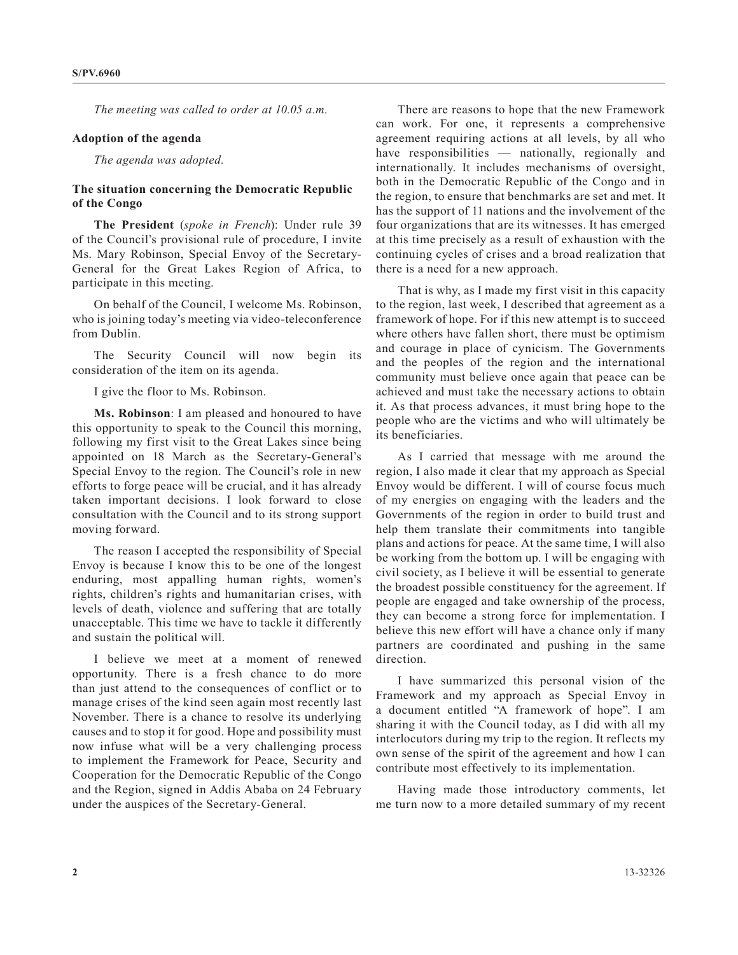*The meeting was called to order at 10.05 a.m.*

## **Adoption of the agenda**

*The agenda was adopted.*

## **The situation concerning the Democratic Republic of the Congo**

**The President** (*spoke in French*): Under rule 39 of the Council's provisional rule of procedure, I invite Ms. Mary Robinson, Special Envoy of the Secretary-General for the Great Lakes Region of Africa, to participate in this meeting.

On behalf of the Council, I welcome Ms. Robinson, who is joining today's meeting via video-teleconference from Dublin.

The Security Council will now begin its consideration of the item on its agenda.

I give the floor to Ms. Robinson.

**Ms. Robinson**: I am pleased and honoured to have this opportunity to speak to the Council this morning, following my first visit to the Great Lakes since being appointed on 18 March as the Secretary-General's Special Envoy to the region. The Council's role in new efforts to forge peace will be crucial, and it has already taken important decisions. I look forward to close consultation with the Council and to its strong support moving forward.

The reason I accepted the responsibility of Special Envoy is because I know this to be one of the longest enduring, most appalling human rights, women's rights, children's rights and humanitarian crises, with levels of death, violence and suffering that are totally unacceptable. This time we have to tackle it differently and sustain the political will.

I believe we meet at a moment of renewed opportunity. There is a fresh chance to do more than just attend to the consequences of conflict or to manage crises of the kind seen again most recently last November. There is a chance to resolve its underlying causes and to stop it for good. Hope and possibility must now infuse what will be a very challenging process to implement the Framework for Peace, Security and Cooperation for the Democratic Republic of the Congo and the Region, signed in Addis Ababa on 24 February under the auspices of the Secretary-General.

There are reasons to hope that the new Framework can work. For one, it represents a comprehensive agreement requiring actions at all levels, by all who have responsibilities — nationally, regionally and internationally. It includes mechanisms of oversight, both in the Democratic Republic of the Congo and in the region, to ensure that benchmarks are set and met. It has the support of 11 nations and the involvement of the four organizations that are its witnesses. It has emerged at this time precisely as a result of exhaustion with the continuing cycles of crises and a broad realization that there is a need for a new approach.

That is why, as I made my first visit in this capacity to the region, last week, I described that agreement as a framework of hope. For if this new attempt is to succeed where others have fallen short, there must be optimism and courage in place of cynicism. The Governments and the peoples of the region and the international community must believe once again that peace can be achieved and must take the necessary actions to obtain it. As that process advances, it must bring hope to the people who are the victims and who will ultimately be its beneficiaries.

As I carried that message with me around the region, I also made it clear that my approach as Special Envoy would be different. I will of course focus much of my energies on engaging with the leaders and the Governments of the region in order to build trust and help them translate their commitments into tangible plans and actions for peace. At the same time, I will also be working from the bottom up. I will be engaging with civil society, as I believe it will be essential to generate the broadest possible constituency for the agreement. If people are engaged and take ownership of the process, they can become a strong force for implementation. I believe this new effort will have a chance only if many partners are coordinated and pushing in the same direction.

I have summarized this personal vision of the Framework and my approach as Special Envoy in a document entitled "A framework of hope". I am sharing it with the Council today, as I did with all my interlocutors during my trip to the region. It reflects my own sense of the spirit of the agreement and how I can contribute most effectively to its implementation.

Having made those introductory comments, let me turn now to a more detailed summary of my recent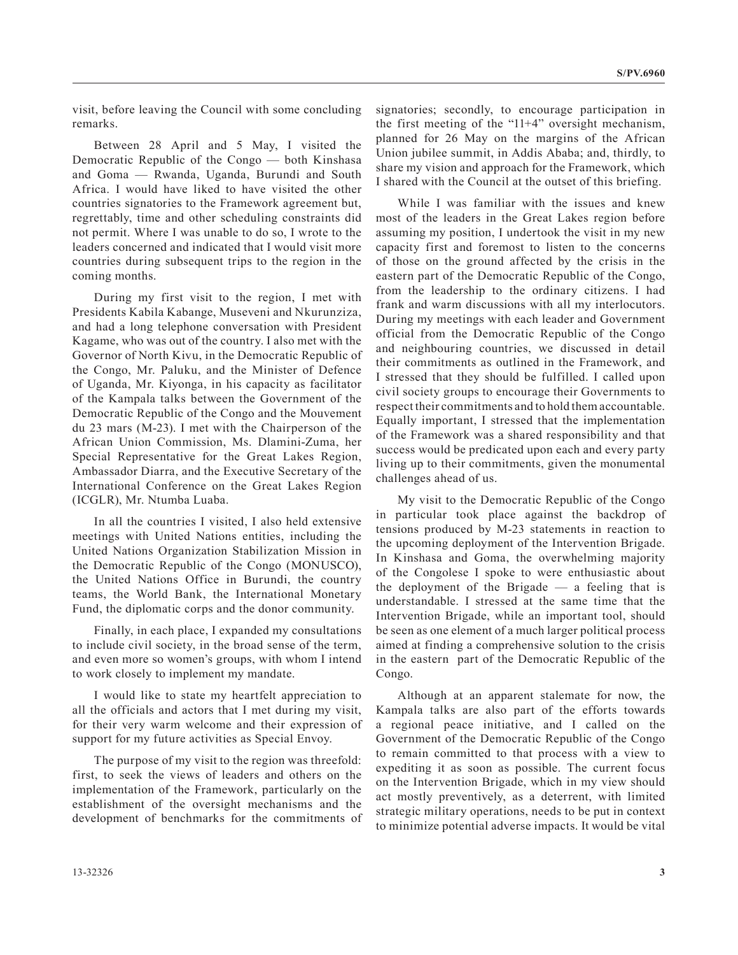visit, before leaving the Council with some concluding remarks.

Between 28 April and 5 May, I visited the Democratic Republic of the Congo — both Kinshasa and Goma — Rwanda, Uganda, Burundi and South Africa. I would have liked to have visited the other countries signatories to the Framework agreement but, regrettably, time and other scheduling constraints did not permit. Where I was unable to do so, I wrote to the leaders concerned and indicated that I would visit more countries during subsequent trips to the region in the coming months.

During my first visit to the region, I met with Presidents Kabila Kabange, Museveni and Nkurunziza, and had a long telephone conversation with President Kagame, who was out of the country. I also met with the Governor of North Kivu, in the Democratic Republic of the Congo, Mr. Paluku, and the Minister of Defence of Uganda, Mr. Kiyonga, in his capacity as facilitator of the Kampala talks between the Government of the Democratic Republic of the Congo and the Mouvement du 23 mars (M-23). I met with the Chairperson of the African Union Commission, Ms. Dlamini-Zuma, her Special Representative for the Great Lakes Region, Ambassador Diarra, and the Executive Secretary of the International Conference on the Great Lakes Region (ICGLR), Mr. Ntumba Luaba.

In all the countries I visited, I also held extensive meetings with United Nations entities, including the United Nations Organization Stabilization Mission in the Democratic Republic of the Congo (MONUSCO), the United Nations Office in Burundi, the country teams, the World Bank, the International Monetary Fund, the diplomatic corps and the donor community.

Finally, in each place, I expanded my consultations to include civil society, in the broad sense of the term, and even more so women's groups, with whom I intend to work closely to implement my mandate.

I would like to state my heartfelt appreciation to all the officials and actors that I met during my visit, for their very warm welcome and their expression of support for my future activities as Special Envoy.

The purpose of my visit to the region was threefold: first, to seek the views of leaders and others on the implementation of the Framework, particularly on the establishment of the oversight mechanisms and the development of benchmarks for the commitments of signatories; secondly, to encourage participation in the first meeting of the "11+4" oversight mechanism, planned for 26 May on the margins of the African Union jubilee summit, in Addis Ababa; and, thirdly, to share my vision and approach for the Framework, which I shared with the Council at the outset of this briefing.

While I was familiar with the issues and knew most of the leaders in the Great Lakes region before assuming my position, I undertook the visit in my new capacity first and foremost to listen to the concerns of those on the ground affected by the crisis in the eastern part of the Democratic Republic of the Congo, from the leadership to the ordinary citizens. I had frank and warm discussions with all my interlocutors. During my meetings with each leader and Government official from the Democratic Republic of the Congo and neighbouring countries, we discussed in detail their commitments as outlined in the Framework, and I stressed that they should be fulfilled. I called upon civil society groups to encourage their Governments to respect their commitments and to hold them accountable. Equally important, I stressed that the implementation of the Framework was a shared responsibility and that success would be predicated upon each and every party living up to their commitments, given the monumental challenges ahead of us.

My visit to the Democratic Republic of the Congo in particular took place against the backdrop of tensions produced by M-23 statements in reaction to the upcoming deployment of the Intervention Brigade. In Kinshasa and Goma, the overwhelming majority of the Congolese I spoke to were enthusiastic about the deployment of the Brigade — a feeling that is understandable. I stressed at the same time that the Intervention Brigade, while an important tool, should be seen as one element of a much larger political process aimed at finding a comprehensive solution to the crisis in the eastern part of the Democratic Republic of the Congo.

Although at an apparent stalemate for now, the Kampala talks are also part of the efforts towards a regional peace initiative, and I called on the Government of the Democratic Republic of the Congo to remain committed to that process with a view to expediting it as soon as possible. The current focus on the Intervention Brigade, which in my view should act mostly preventively, as a deterrent, with limited strategic military operations, needs to be put in context to minimize potential adverse impacts. It would be vital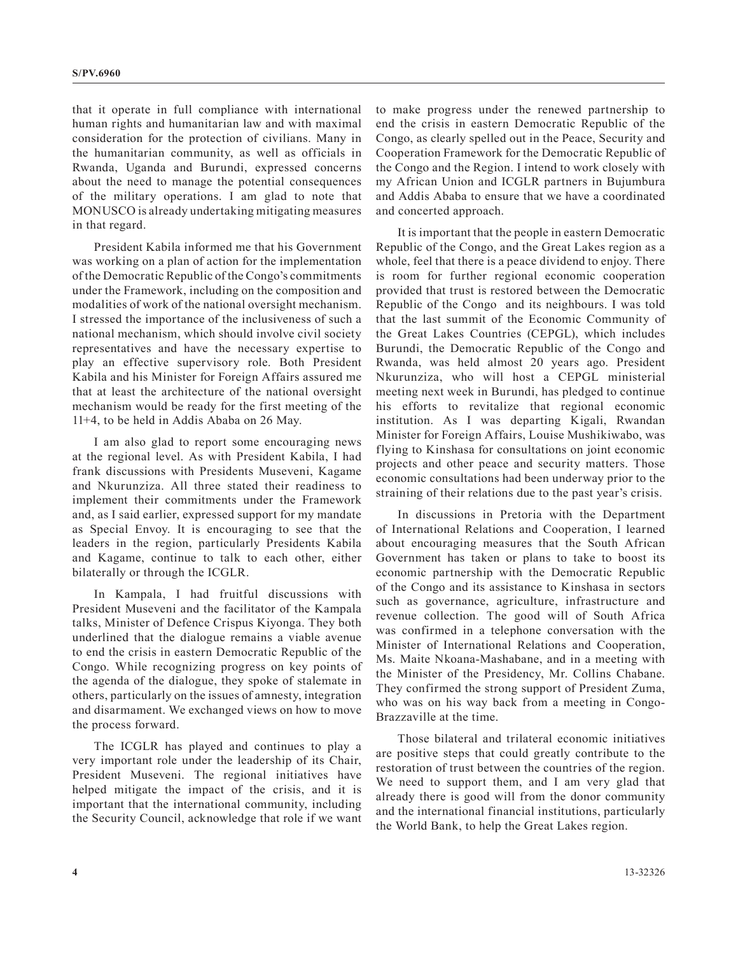that it operate in full compliance with international human rights and humanitarian law and with maximal consideration for the protection of civilians. Many in the humanitarian community, as well as officials in Rwanda, Uganda and Burundi, expressed concerns about the need to manage the potential consequences of the military operations. I am glad to note that MONUSCO is already undertaking mitigating measures in that regard.

President Kabila informed me that his Government was working on a plan of action for the implementation of the Democratic Republic of the Congo's commitments under the Framework, including on the composition and modalities of work of the national oversight mechanism. I stressed the importance of the inclusiveness of such a national mechanism, which should involve civil society representatives and have the necessary expertise to play an effective supervisory role. Both President Kabila and his Minister for Foreign Affairs assured me that at least the architecture of the national oversight mechanism would be ready for the first meeting of the 11+4, to be held in Addis Ababa on 26 May.

I am also glad to report some encouraging news at the regional level. As with President Kabila, I had frank discussions with Presidents Museveni, Kagame and Nkurunziza. All three stated their readiness to implement their commitments under the Framework and, as I said earlier, expressed support for my mandate as Special Envoy. It is encouraging to see that the leaders in the region, particularly Presidents Kabila and Kagame, continue to talk to each other, either bilaterally or through the ICGLR.

In Kampala, I had fruitful discussions with President Museveni and the facilitator of the Kampala talks, Minister of Defence Crispus Kiyonga. They both underlined that the dialogue remains a viable avenue to end the crisis in eastern Democratic Republic of the Congo. While recognizing progress on key points of the agenda of the dialogue, they spoke of stalemate in others, particularly on the issues of amnesty, integration and disarmament. We exchanged views on how to move the process forward.

The ICGLR has played and continues to play a very important role under the leadership of its Chair, President Museveni. The regional initiatives have helped mitigate the impact of the crisis, and it is important that the international community, including the Security Council, acknowledge that role if we want to make progress under the renewed partnership to end the crisis in eastern Democratic Republic of the Congo, as clearly spelled out in the Peace, Security and Cooperation Framework for the Democratic Republic of the Congo and the Region. I intend to work closely with my African Union and ICGLR partners in Bujumbura and Addis Ababa to ensure that we have a coordinated and concerted approach.

It is important that the people in eastern Democratic Republic of the Congo, and the Great Lakes region as a whole, feel that there is a peace dividend to enjoy. There is room for further regional economic cooperation provided that trust is restored between the Democratic Republic of the Congo and its neighbours. I was told that the last summit of the Economic Community of the Great Lakes Countries (CEPGL), which includes Burundi, the Democratic Republic of the Congo and Rwanda, was held almost 20 years ago. President Nkurunziza, who will host a CEPGL ministerial meeting next week in Burundi, has pledged to continue his efforts to revitalize that regional economic institution. As I was departing Kigali, Rwandan Minister for Foreign Affairs, Louise Mushikiwabo, was flying to Kinshasa for consultations on joint economic projects and other peace and security matters. Those economic consultations had been underway prior to the straining of their relations due to the past year's crisis.

In discussions in Pretoria with the Department of International Relations and Cooperation, I learned about encouraging measures that the South African Government has taken or plans to take to boost its economic partnership with the Democratic Republic of the Congo and its assistance to Kinshasa in sectors such as governance, agriculture, infrastructure and revenue collection. The good will of South Africa was confirmed in a telephone conversation with the Minister of International Relations and Cooperation, Ms. Maite Nkoana-Mashabane, and in a meeting with the Minister of the Presidency, Mr. Collins Chabane. They confirmed the strong support of President Zuma, who was on his way back from a meeting in Congo-Brazzaville at the time.

Those bilateral and trilateral economic initiatives are positive steps that could greatly contribute to the restoration of trust between the countries of the region. We need to support them, and I am very glad that already there is good will from the donor community and the international financial institutions, particularly the World Bank, to help the Great Lakes region.